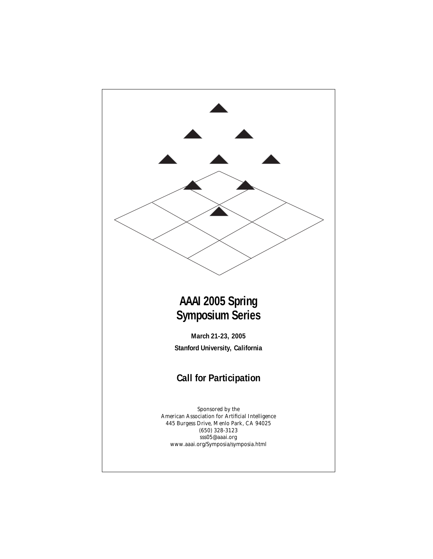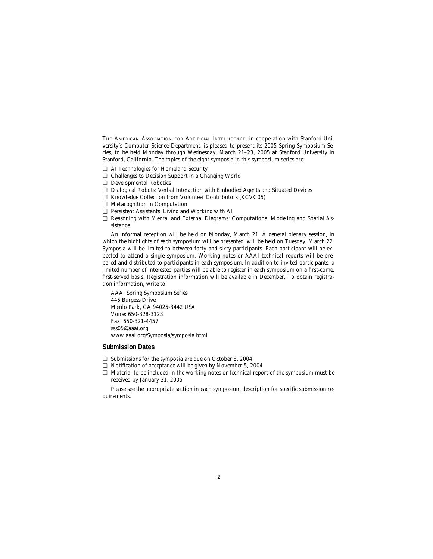THE AMERICAN ASSOCIATION FOR ARTIFICIAL INTELLIGENCE, in cooperation with Stanford University's Computer Science Department, is pleased to present its 2005 Spring Symposium Series, to be held Monday through Wednesday, March 21–23, 2005 at Stanford University in Stanford, California. The topics of the eight symposia in this symposium series are:

- ❏ AI Technologies for Homeland Security
- ❏ Challenges to Decision Support in a Changing World
- ❏ Developmental Robotics
- ❏ Dialogical Robots: Verbal Interaction with Embodied Agents and Situated Devices
- ❏ Knowledge Collection from Volunteer Contributors (KCVC05)
- ❏ Metacognition in Computation
- ❏ Persistent Assistants: Living and Working with AI
- ❏ Reasoning with Mental and External Diagrams: Computational Modeling and Spatial Assistance

An informal reception will be held on Monday, March 21. A general plenary session, in which the highlights of each symposium will be presented, will be held on Tuesday, March 22. Symposia will be limited to between forty and sixty participants. Each participant will be expected to attend a single symposium. Working notes or AAAI technical reports will be prepared and distributed to participants in each symposium. In addition to invited participants, a limited number of interested parties will be able to register in each symposium on a first-come, first-served basis. Registration information will be available in December. To obtain registration information, write to:

AAAI Spring Symposium Series 445 Burgess Drive Menlo Park, CA 94025-3442 USA Voice: 650-328-3123 Fax: 650-321-4457 sss05@aaai.org www.aaai.org/Symposia/symposia.html

# **Submission Dates**

- ❏ Submissions for the symposia are due on October 8, 2004
- ❏ Notification of acceptance will be given by November 5, 2004
- ❏ Material to be included in the working notes or technical report of the symposium must be received by January 31, 2005

Please see the appropriate section in each symposium description for specific submission requirements.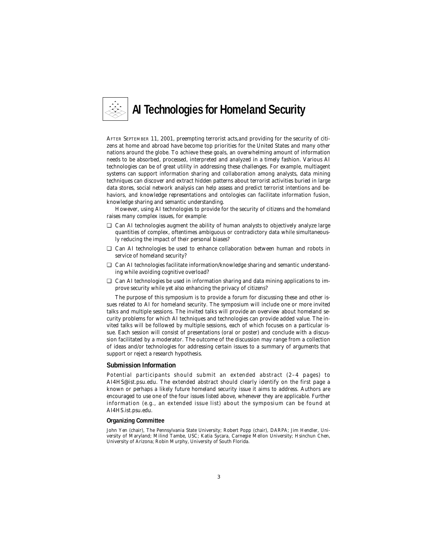

AFTER SEPTEMBER 11, 2001, preempting terrorist acts,and providing for the security of citizens at home and abroad have become top priorities for the United States and many other nations around the globe. To achieve these goals, an overwhelming amount of information needs to be absorbed, processed, interpreted and analyzed in a timely fashion. Various AI technologies can be of great utility in addressing these challenges. For example, multiagent systems can support information sharing and collaboration among analysts, data mining techniques can discover and extract hidden patterns about terrorist activities buried in large data stores, social network analysis can help assess and predict terrorist intentions and behaviors, and knowledge representations and ontologies can facilitate information fusion, knowledge sharing and semantic understanding.

However, using AI technologies to provide for the security of citizens and the homeland raises many complex issues, for example:

- ❏ Can AI technologies augment the ability of human analysts to objectively analyze large quantities of complex, oftentimes ambiguous or contradictory data while simultaneously reducing the impact of their personal biases?
- ❏ Can AI technologies be used to enhance collaboration between human and robots in service of homeland security?
- ❏ Can AI technologies facilitate information/knowledge sharing and semantic understanding while avoiding cognitive overload?
- ❏ Can AI technologies be used in information sharing and data mining applications to improve security while yet also enhancing the privacy of citizens?

The purpose of this symposium is to provide a forum for discussing these and other issues related to AI for homeland security. The symposium will include one or more invited talks and multiple sessions. The invited talks will provide an overview about homeland security problems for which AI techniques and technologies can provide added value. The invited talks will be followed by multiple sessions, each of which focuses on a particular issue. Each session will consist of presentations (oral or poster) and conclude with a discussion facilitated by a moderator. The outcome of the discussion may range from a collection of ideas and/or technologies for addressing certain issues to a summary of arguments that support or reject a research hypothesis.

#### **Submission Information**

Potential participants should submit an extended abstract (2–4 pages) to AI4HS@ist.psu.edu. The extended abstract should clearly identify on the first page a known or perhaps a likely future homeland security issue it aims to address. Authors are encouraged to use one of the four issues listed above, whenever they are applicable. Further information (e.g., an extended issue list) about the symposium can be found at AI4HS.ist.psu.edu.

#### **Organizing Committee**

John Yen (chair), The Pennsylvania State University; Robert Popp (chair), DARPA; Jim Hendler, University of Maryland; Milind Tambe, USC; Katia Sycara, Carnegie Mellon University; Hsinchun Chen, University of Arizona; Robin Murphy, University of South Florida.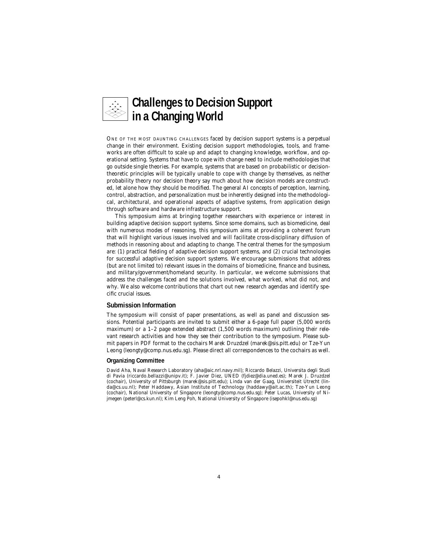

ONE OF THE MOST DAUNTING CHALLENGES faced by decision support systems is a perpetual change in their environment. Existing decision support methodologies, tools, and frameworks are often difficult to scale up and adapt to changing knowledge, workflow, and operational setting. Systems that have to cope with change need to include methodologies that go outside single theories. For example, systems that are based on probabilistic or decisiontheoretic principles will be typically unable to cope with change by themselves, as neither probability theory nor decision theory say much about how decision models are constructed, let alone how they should be modified. The general AI concepts of perception, learning, control, abstraction, and personalization must be inherently designed into the methodological, architectural, and operational aspects of adaptive systems, from application design through software and hardware infrastructure support.

This symposium aims at bringing together researchers with experience or interest in building adaptive decision support systems. Since some domains, such as biomedicine, deal with numerous modes of reasoning, this symposium aims at providing a coherent forum that will highlight various issues involved and will facilitate cross-disciplinary diffusion of methods in reasoning about and adapting to change. The central themes for the symposium are: (1) practical fielding of adaptive decision support systems, and (2) crucial technologies for successful adaptive decision support systems. We encourage submissions that address (but are not limited to) relevant issues in the domains of biomedicine, finance and business, and military/government/homeland security. In particular, we welcome submissions that address the challenges faced and the solutions involved, what worked, what did not, and why. We also welcome contributions that chart out new research agendas and identify specific crucial issues.

#### **Submission Information**

The symposium will consist of paper presentations, as well as panel and discussion sessions. Potential participants are invited to submit either a 6-page full paper (5,000 words maximum) or a 1–2 page extended abstract (1,500 words maximum) outlining their relevant research activities and how they see their contribution to the symposium. Please submit papers in PDF format to the cochairs Marek Druzdzel (marek@sis.pitt.edu) or Tze-Yun Leong (leongty@comp.nus.edu.sg). Please direct all correspondences to the cochairs as well.

# **Organizing Committee**

David Aha, Naval Research Laboratory (aha@aic.nrl.navy.mil); Riccardo Belazzi, Universita degli Studi di Pavia (riccardo.bellazzi@unipv.it); F. Javier Diez, UNED (fjdiez@dia.uned.es); Marek J. Druzdzel (cochair), University of Pittsburgh (marek@sis.pitt.edu); Linda van der Gaag, Universiteit Utrecht (linda@cs.uu.nl); Peter Haddawy, Asian Institute of Technology (haddawy@ait.ac.th); Tze-Yun Leong (cochair), National University of Singapore (leongty@comp.nus.edu.sg); Peter Lucas, University of Nijmegen (peterl@cs.kun.nl); Kim Leng Poh, National University of Singapore (isepohkl@nus.edu.sg)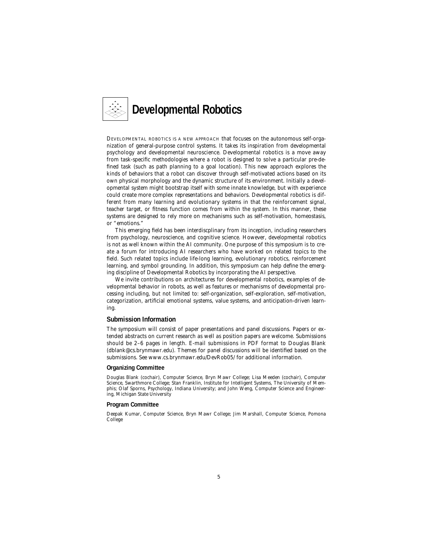

DEVELOPMENTAL ROBOTICS IS A NEW APPROACH that focuses on the autonomous self-organization of general-purpose control systems. It takes its inspiration from developmental psychology and developmental neuroscience. Developmental robotics is a move away from task-specific methodologies where a robot is designed to solve a particular pre-defined task (such as path planning to a goal location). This new approach explores the kinds of behaviors that a robot can discover through self-motivated actions based on its own physical morphology and the dynamic structure of its environment. Initially a developmental system might bootstrap itself with some innate knowledge, but with experience could create more complex representations and behaviors. Developmental robotics is different from many learning and evolutionary systems in that the reinforcement signal, teacher target, or fitness function comes from within the system. In this manner, these systems are designed to rely more on mechanisms such as self-motivation, homeostasis, or "emotions."

This emerging field has been interdiscplinary from its inception, including researchers from psychology, neuroscience, and cognitive science. However, developmental robotics is not as well known within the AI community. One purpose of this symposium is to create a forum for introducing AI researchers who have worked on related topics to the field. Such related topics include life-long learning, evolutionary robotics, reinforcement learning, and symbol grounding. In addition, this symposium can help define the emerging discipline of Developmental Robotics by incorporating the AI perspective.

We invite contributions on architectures for developmental robotics, examples of developmental behavior in robots, as well as features or mechanisms of developmental processing including, but not limited to: self-organization, self-exploration, self-motivation, categorization, artificial emotional systems, value systems, and anticipation-driven learning.

# **Submission Information**

The symposium will consist of paper presentations and panel discussions. Papers or extended abstracts on current research as well as position papers are welcome. Submissions should be 2–6 pages in length. E-mail submissions in PDF format to Douglas Blank (dblank@cs.brynmawr.edu). Themes for panel discussions will be identified based on the submissions. See www.cs.brynmawr.edu/DevRob05/ for additional information.

#### **Organizing Committee**

Douglas Blank (cochair), Computer Science, Bryn Mawr College; Lisa Meeden (cochair), Computer Science, Swarthmore College; Stan Franklin, Institute for Intelligent Systems, The University of Memphis; Olaf Sporns, Psychology, Indiana University; and John Weng, Computer Science and Engineering, Michigan State University

#### **Program Committee**

Deepak Kumar, Computer Science, Bryn Mawr College; Jim Marshall, Computer Science, Pomona College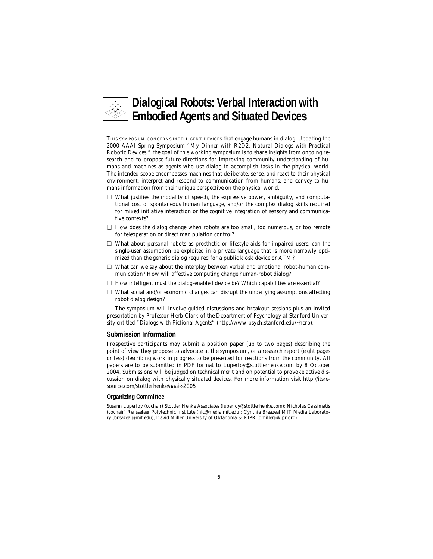

THIS SYMPOSIUM CONCERNS INTELLIGENT DEVICES that engage humans in dialog. Updating the 2000 AAAI Spring Symposium "My Dinner with R2D2: Natural Dialogs with Practical Robotic Devices," the goal of this working symposium is to share insights from ongoing research and to propose future directions for improving community understanding of humans and machines as agents who use dialog to accomplish tasks in the physical world. The intended scope encompasses machines that deliberate, sense, and react to their physical environment; interpret and respond to communication from humans; and convey to humans information from their unique perspective on the physical world.

- ❏ What justifies the modality of speech, the expressive power, ambiguity, and computational cost of spontaneous human language, and/or the complex dialog skills required for mixed initiative interaction or the cognitive integration of sensory and communicative contexts?
- ❏ How does the dialog change when robots are too small, too numerous, or too remote for teleoperation or direct manipulation control?
- ❏ What about personal robots as prosthetic or lifestyle aids for impaired users; can the single-user assumption be exploited in a private language that is more narrowly optimized than the generic dialog required for a public kiosk device or ATM?
- ❏ What can we say about the interplay between verbal and emotional robot-human communication? How will affective computing change human-robot dialog?
- ❏ How intelligent must the dialog-enabled device be? Which capabilities are essential?
- ❏ What social and/or economic changes can disrupt the underlying assumptions affecting robot dialog design?

The symposium will involve guided discussions and breakout sessions plus an invited presentation by Professor Herb Clark of the Department of Psychology at Stanford University entitled "Dialogs with Fictional Agents" (http://www-psych.stanford.edu/~herb).

# **Submission Information**

Prospective participants may submit a position paper (up to two pages) describing the point of view they propose to advocate at the symposium, or a research report (eight pages or less) describing work in progress to be presented for reactions from the community. All papers are to be submitted in PDF format to Luperfoy@stottlerhenke.com by 8 October 2004. Submissions will be judged on technical merit and on potential to provoke active discussion on dialog with physically situated devices. For more information visit http://itsresource.com/stottlerhenke/aaai-s2005

# **Organizing Committee**

Susann Luperfoy (cochair) Stottler Henke Associates (luperfoy@stottlerhenke.com); Nicholas Cassimatis (cochair) Rensselaer Polytechnic Institute (nlc@media.mit.edu); Cynthia Breazeal MIT Media Laboratory (breazeal@mit.edu); David Miller University of Oklahoma & KIPR (dmiller@kipr.org)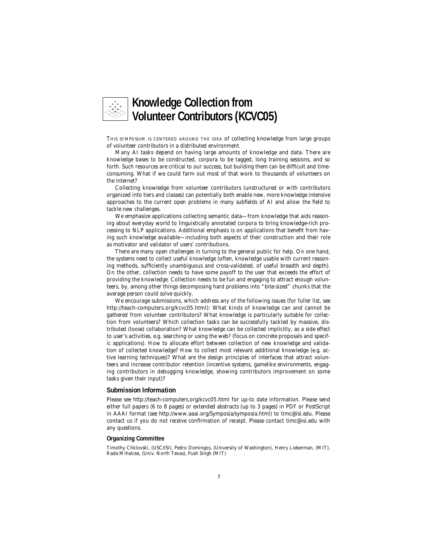

THIS SYMPOSIUM IS CENTERED AROUND THE IDEA of collecting knowledge from large groups of volunteer contributors in a distributed environment.

Many AI tasks depend on having large amounts of knowledge and data. There are knowledge bases to be constructed, corpora to be tagged, long training sessions, and so forth. Such resources are critical to our success, but building them can be difficult and timeconsuming. What if we could farm out most of that work to thousands of volunteers on the internet?

Collecting knowledge from volunteer contributors (unstructured or with contributors organized into tiers and classes) can potentially both enable new, more knowledge intensive approaches to the current open problems in many subfields of AI and allow the field to tackle new challenges.

We emphasize applications collecting semantic data—from knowledge that aids reasoning about everyday world to linguistically annotated corpora to bring knowledge-rich processing to NLP applications. Additional emphasis is on applications that benefit from having such knowledge available—including both aspects of their construction and their role as motivator and validator of users' contributions.

There are many open challenges in turning to the general public for help. On one hand, the systems need to collect useful knowledge (often, knowledge usable with current reasoning methods, sufficiently unambiguous and cross-validated, of useful breadth and depth). On the other, collection needs to have some payoff to the user that exceeds the effort of providing the knowledge. Collection needs to be fun and engaging to attract enough volunteers, by, among other things decomposing hard problems into "bite-sized" chunks that the average person could solve quickly.

We encourage submissions, which address any of the following issues (for fuller list, see http://teach-computers.org/kcvc05.html): What kinds of knowledge can and cannot be gathered from volunteer contributors? What knowledge is particularly suitable for collection from volunteers? Which collection tasks can be successfully tackled by massive, distributed (loose) collaboration? What knowledge can be collected implicitly, as a side effect to user's activities, e.g. searching or using the web? (focus on concrete proposals and specific applications). How to allocate effort between collection of new knowledge and validation of collected knowledge? How to collect most relevant additional knowledge (e.g. active learning techniques)? What are the design principles of interfaces that attract volunteers and increase contributor retention (incentive systems, gamelike environments, engaging contributors in debugging knowledge, showing contributors improvement on some tasks given their input)?

# **Submission Information**

Please see http://teach-computers.org/kcvc05.html for up-to date information. Please send either full papers (6 to 8 pages) or extended abstracts (up to 3 pages) in PDF or PostScript in AAAI format (see http://www.aaai.org/Symposia/symposia.html) to timc@isi.edu. Please contact us if you do not receive confirmation of receipt. Please contact timc@isi.edu with any questions.

# **Organizing Committee**

Timothy Chklovski, (USC/ISI), Pedro Domingos, (University of Washington), Henry Lieberman, (MIT), Rada Mihalcea, (Univ. North Texas), Push Singh (MIT)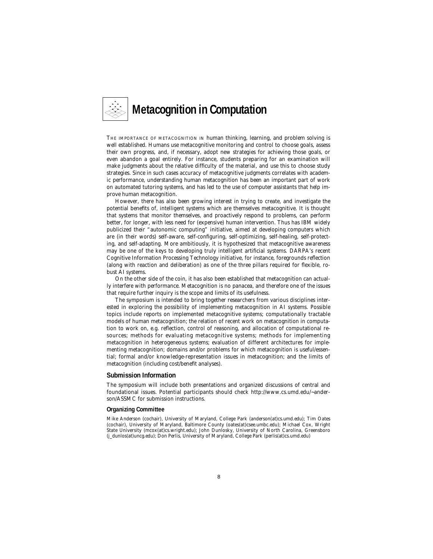

THE IMPORTANCE OF METACOGNITION IN human thinking, learning, and problem solving is well established. Humans use metacognitive monitoring and control to choose goals, assess their own progress, and, if necessary, adopt new strategies for achieving those goals, or even abandon a goal entirely. For instance, students preparing for an examination will make judgments about the relative difficulty of the material, and use this to choose study strategies. Since in such cases accuracy of metacognitive judgments correlates with academic performance, understanding human metacognition has been an important part of work on automated tutoring systems, and has led to the use of computer assistants that help improve human metacognition.

However, there has also been growing interest in trying to create, and investigate the potential benefits of, intelligent systems which are themselves metacognitive. It is thought that systems that monitor themselves, and proactively respond to problems, can perform better, for longer, with less need for (expensive) human intervention. Thus has IBM widely publicized their "autonomic computing" initiative, aimed at developing computers which are (in their words) self-aware, self-configuring, self-optimizing, self-healing, self-protecting, and self-adapting. More ambitiously, it is hypothesized that metacognitive awareness may be one of the keys to developing truly intelligent artificial systems. DARPA's recent Cognitive Information Processing Technology initiative, for instance, foregrounds reflection (along with reaction and deliberation) as one of the three pillars required for flexible, robust AI systems.

On the other side of the coin, it has also been established that metacognition can actually interfere with performance. Metacognition is no panacea, and therefore one of the issues that require further inquiry is the scope and limits of its usefulness.

The symposium is intended to bring together researchers from various disciplines interested in exploring the possibility of implementing metacognition in AI systems. Possible topics include reports on implemented metacognitive systems; computationally tractable models of human metacognition; the relation of recent work on metacognition in computation to work on, e.g. reflection, control of reasoning, and allocation of computational resources; methods for evaluating metacognitive systems; methods for implementing metacognition in heterogeneous systems; evaluation of different architectures for implementing metacognition; domains and/or problems for which metacognition is useful/essential; formal and/or knowledge-representation issues in metacognition; and the limits of metacognition (including cost/benefit analyses).

#### **Submission Information**

The symposium will include both presentations and organized discussions of central and foundational issues. Potential participants should check http://www.cs.umd.edu/~anderson/ASSMC for submission instructions.

#### **Organizing Committee**

Mike Anderson (cochair), University of Maryland, College Park (anderson(at)cs.umd.edu); Tim Oates (cochair), University of Maryland, Baltimore County (oates(at)csee.umbc.edu); Michael Cox, Wright State University (mcox(at)cs.wright.edu); John Dunlosky, University of North Carolina, Greensboro (j\_dunlos(at)uncg.edu); Don Perlis, University of Maryland, College Park (perlis(at)cs.umd.edu)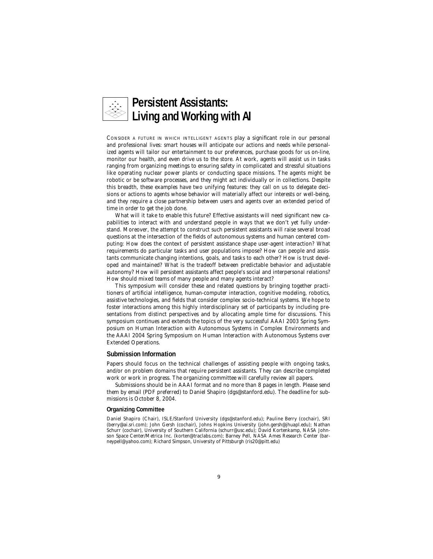

CONSIDER A FUTURE IN WHICH INTELLIGENT AGENTS play a significant role in our personal and professional lives: smart houses will anticipate our actions and needs while personalized agents will tailor our entertainment to our preferences, purchase goods for us on-line, monitor our health, and even drive us to the store. At work, agents will assist us in tasks ranging from organizing meetings to ensuring safety in complicated and stressful situations like operating nuclear power plants or conducting space missions. The agents might be robotic or be software processes, and they might act individually or in collections. Despite this breadth, these examples have two unifying features: they call on us to delegate decisions or actions to agents whose behavior will materially affect our interests or well-being, and they require a close partnership between users and agents over an extended period of time in order to get the job done.

What will it take to enable this future? Effective assistants will need significant new capabilities to interact with and understand people in ways that we don't yet fully understand. Moreover, the attempt to construct such persistent assistants will raise several broad questions at the intersection of the fields of autonomous systems and human centered computing: How does the context of persistent assistance shape user-agent interaction? What requirements do particular tasks and user populations impose? How can people and assistants communicate changing intentions, goals, and tasks to each other? How is trust developed and maintained? What is the tradeoff between predictable behavior and adjustable autonomy? How will persistent assistants affect people's social and interpersonal relations? How should mixed teams of many people and many agents interact?

This symposium will consider these and related questions by bringing together practitioners of artificial intelligence, human-computer interaction, cognitive modeling, robotics, assistive technologies, and fields that consider complex socio-technical systems. We hope to foster interactions among this highly interdisciplinary set of participants by including presentations from distinct perspectives and by allocating ample time for discussions. This symposium continues and extends the topics of the very successful AAAI 2003 Spring Symposium on Human Interaction with Autonomous Systems in Complex Environments and the AAAI 2004 Spring Symposium on Human Interaction with Autonomous Systems over Extended Operations.

# **Submission Information**

Papers should focus on the technical challenges of assisting people with ongoing tasks, and/or on problem domains that require persistent assistants. They can describe completed work or work in progress. The organizing committee will carefully review all papers.

Submissions should be in AAAI format and no more than 8 pages in length. Please send them by email (PDF preferred) to Daniel Shapiro (dgs@stanford.edu). The deadline for submissions is October 8, 2004.

#### **Organizing Committee**

Daniel Shapiro (Chair), ISLE/Stanford University (dgs@stanford.edu); Pauline Berry (cochair), SRI (berry@ai.sri.com); John Gersh (cochair), Johns Hopkins University (john.gersh@jhuapl.edu); Nathan Schurr (cochair), University of Southern California (schurr@usc.edu); David Kortenkamp, NASA Johnson Space Center/Metrica Inc. (korten@traclabs.com); Barney Pell, NASA Ames Research Center (barneypell@yahoo.com); Richard Simpson, University of Pittsburgh (ris20@pitt.edu)